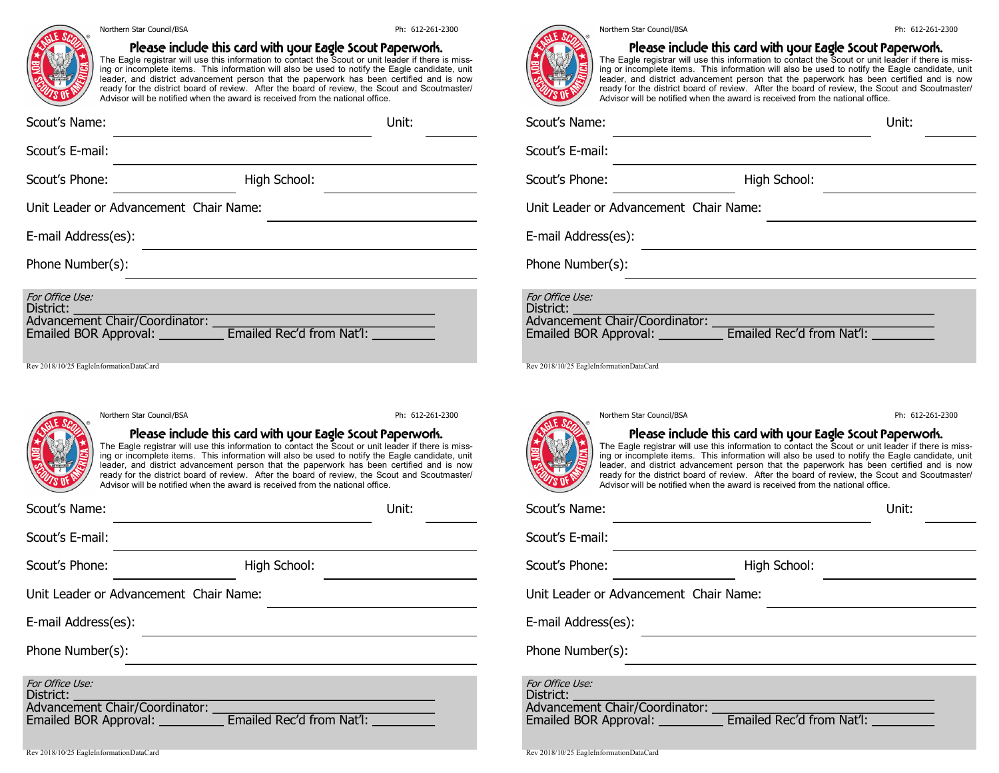

#### Northern Star Council/BSA **Philadella Star Council** Ph: 612-261-2300

## Please include this card with your Eagle Scout Paperwork.

The Eagle registrar will use this information to contact the Scout or unit leader if there is missing or incomplete items. This information will also be used to notify the Eagle candidate, unit leader, and district advancement person that the paperwork has been certified and is now ready for the district board of review. After the board of review, the Scout and Scoutmaster/ Advisor will be notified when the award is received from the national office.

| Scout's Name:                                                                              |                           | Unit: |
|--------------------------------------------------------------------------------------------|---------------------------|-------|
| Scout's E-mail:                                                                            |                           |       |
| Scout's Phone:                                                                             | High School:              |       |
| Unit Leader or Advancement Chair Name:                                                     |                           |       |
| E-mail Address(es):                                                                        |                           |       |
| Phone Number(s):                                                                           |                           |       |
| For Office Use:<br>District:<br>Advancement Chair/Coordinator:<br>Emailed BOR Approval: __ | Emailed Rec'd from Nat'l: |       |

Rev 2018/10/25 EagleInformationDataCard



### Please include this card with your Eagle Scout Paperwork.

The Eagle registrar will use this information to contact the Scout or unit leader if there is missing or incomplete items. This information will also be used to notify the Eagle candidate, unit leader, and district advancement person that the paperwork has been certified and is now ready for the district board of review. After the board of review, the Scout and Scoutmaster/ Advisor will be notified when the award is received from the national office.

Unit:

Scout's Name:

Scout's E-mail:

Scout's Phone:

High School:

Unit Leader or Advancement Chair Name:

E-mail Address(es):

Phone Number(s):

For Office Use: District:

Advancement Chair/Coordinator:

Emailed BOR Approval: Emailed Rec'd from Nat'l:

| ESRA<br>œ        |  |
|------------------|--|
|                  |  |
| ą<br>$\sqrt{2}0$ |  |

Please include this card with your Eagle Scout Paperwork. The Eagle registrar will use this information to contact the Scout or unit leader if there is missing or incomplete items. This information will also be used to notify the Eagle candidate, unit leader, and district advancement person that the paperwork has been certified and is now ready for the district board of review. After the board of review, the Scout and Scoutmaster/ Advisor will be notified when the award is received from the national office.

| Scout's Name:                                                                                                     | Unit:        |
|-------------------------------------------------------------------------------------------------------------------|--------------|
| Scout's E-mail:                                                                                                   |              |
| Scout's Phone:                                                                                                    | High School: |
| Unit Leader or Advancement Chair Name:                                                                            |              |
| E-mail Address(es):                                                                                               |              |
| Phone Number(s):                                                                                                  |              |
| For Office Use:<br>District:<br>Advancement Chair/Coordinator:<br>Emailed BOR Approval: Emailed Rec'd from Nat'l: |              |

Rev 2018/10/25 EagleInformationDataCard



# Please include this card with your Eagle Scout Paperwork. The Eagle registrar will use this information to contact the Scout or unit leader if there is miss-

Northern Star Council/BSA **Philadella Star Council** Ph: 612-261-2300

ing or incomplete items. This information will also be used to notify the Eagle candidate, unit leader, and district advancement person that the paperwork has been certified and is now ready for the district board of review. After the board of review, the Scout and Scoutmaster/ Advisor will be notified when the award is received from the national office.

| Scout's Name:                                                                                                                | Unit:        |  |  |
|------------------------------------------------------------------------------------------------------------------------------|--------------|--|--|
| Scout's E-mail:                                                                                                              |              |  |  |
| Scout's Phone:                                                                                                               | High School: |  |  |
| Unit Leader or Advancement Chair Name:                                                                                       |              |  |  |
| E-mail Address(es):                                                                                                          |              |  |  |
| Phone Number(s):                                                                                                             |              |  |  |
| For Office Use:<br>District:<br>Advancement Chair/Coordinator:<br>Emailed BOR Approval: __________ Emailed Rec'd from Nat'l: |              |  |  |

#### Rev 2018/10/25 EagleInformationDataCard